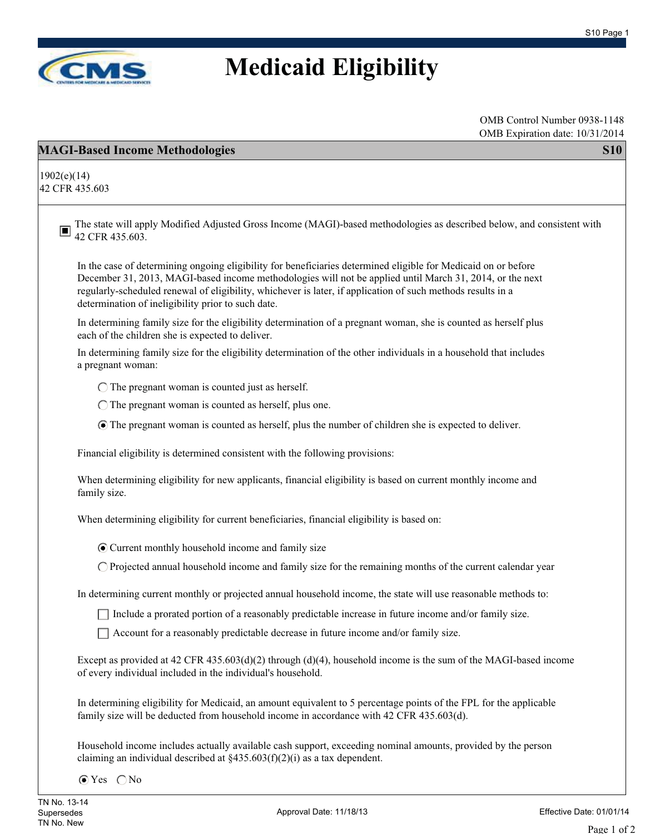

## **Medicaid Eligibility**

OMB Control Number 0938-1148 OMB Expiration date: 10/31/2014

| OMB Expiration date: 10/31/2014                                                                                                                                                                                                                                                                                                                                                                 |  |
|-------------------------------------------------------------------------------------------------------------------------------------------------------------------------------------------------------------------------------------------------------------------------------------------------------------------------------------------------------------------------------------------------|--|
| <b>MAGI-Based Income Methodologies</b><br><b>S10</b>                                                                                                                                                                                                                                                                                                                                            |  |
| 1902(e)(14)<br>42 CFR 435.603                                                                                                                                                                                                                                                                                                                                                                   |  |
| The state will apply Modified Adjusted Gross Income (MAGI)-based methodologies as described below, and consistent with<br>O<br>42 CFR 435.603.                                                                                                                                                                                                                                                  |  |
| In the case of determining ongoing eligibility for beneficiaries determined eligible for Medicaid on or before<br>December 31, 2013, MAGI-based income methodologies will not be applied until March 31, 2014, or the next<br>regularly-scheduled renewal of eligibility, whichever is later, if application of such methods results in a<br>determination of ineligibility prior to such date. |  |
| In determining family size for the eligibility determination of a pregnant woman, she is counted as herself plus<br>each of the children she is expected to deliver.                                                                                                                                                                                                                            |  |
| In determining family size for the eligibility determination of the other individuals in a household that includes<br>a pregnant woman:                                                                                                                                                                                                                                                         |  |
| $\bigcirc$ The pregnant woman is counted just as herself.                                                                                                                                                                                                                                                                                                                                       |  |
| $\bigcirc$ The pregnant woman is counted as herself, plus one.                                                                                                                                                                                                                                                                                                                                  |  |
| • The pregnant woman is counted as herself, plus the number of children she is expected to deliver.                                                                                                                                                                                                                                                                                             |  |
| Financial eligibility is determined consistent with the following provisions:                                                                                                                                                                                                                                                                                                                   |  |
| When determining eligibility for new applicants, financial eligibility is based on current monthly income and<br>family size.                                                                                                                                                                                                                                                                   |  |
| When determining eligibility for current beneficiaries, financial eligibility is based on:                                                                                                                                                                                                                                                                                                      |  |
| • Current monthly household income and family size                                                                                                                                                                                                                                                                                                                                              |  |
| $\bigcirc$ Projected annual household income and family size for the remaining months of the current calendar year                                                                                                                                                                                                                                                                              |  |
| In determining current monthly or projected annual household income, the state will use reasonable methods to:                                                                                                                                                                                                                                                                                  |  |
| The lude a prorated portion of a reasonably predictable increase in future income and/or family size.                                                                                                                                                                                                                                                                                           |  |
| □ Account for a reasonably predictable decrease in future income and/or family size.                                                                                                                                                                                                                                                                                                            |  |
| Except as provided at $42$ CFR $435.603(d)(2)$ through (d)(4), household income is the sum of the MAGI-based income<br>of every individual included in the individual's household.                                                                                                                                                                                                              |  |
| In determining eligibility for Medicaid, an amount equivalent to 5 percentage points of the FPL for the applicable<br>family size will be deducted from household income in accordance with 42 CFR 435.603(d).                                                                                                                                                                                  |  |
| Household income includes actually available cash support, exceeding nominal amounts, provided by the person<br>claiming an individual described at $\S 435.603(f)(2)(i)$ as a tax dependent.                                                                                                                                                                                                   |  |

 $\odot$  Yes  $\bigcirc$  No